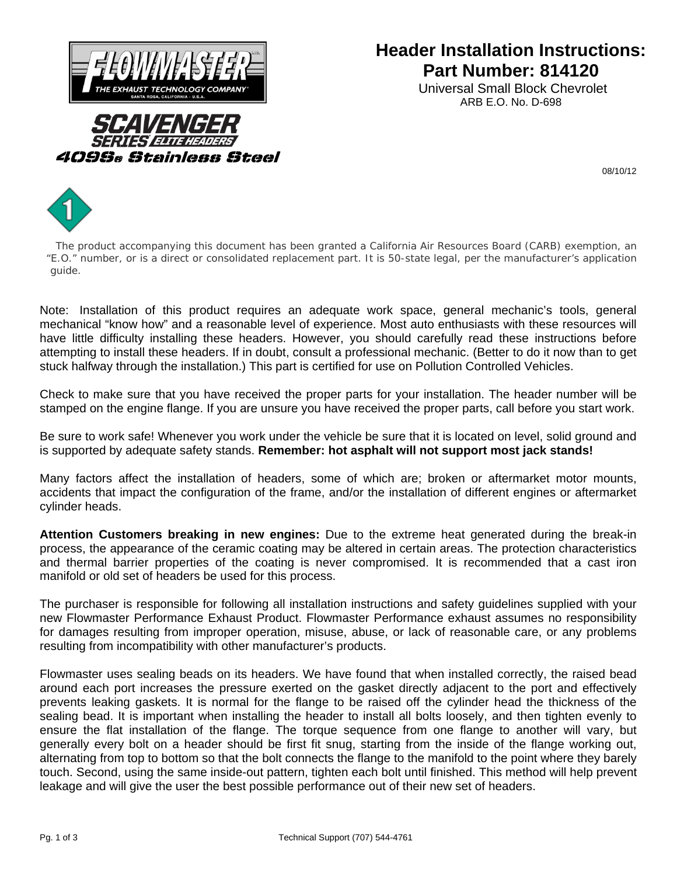

409S® Stainless Steel

## **Part Number: 814120 Header Installation Instructions:**

**Part Number: 014120**<br>Universal Small Block Chevrolet ARB E.O. No. D-698

08/10/12



The product accompanying this document has been granted a California Air Resources Board (CARB) exemption, an "E.O." number, or is a direct or consolidated replacement part. It is 50-state legal, per the manufacturer's application guide.

Note: Installation of this product requires an adequate work space, general mechanic's tools, general mechanical "know how" and a reasonable level of experience. Most auto enthusiasts with these resources will have little difficulty installing these headers. However, you should carefully read these instructions before attempting to install these headers. If in doubt, consult a professional mechanic. (Better to do it now than to get stuck halfway through the installation.) This part is certified for use on Pollution Controlled Vehicles.

Check to make sure that you have received the proper parts for your installation. The header number will be stamped on the engine flange. If you are unsure you have received the proper parts, call before you start work.

Be sure to work safe! Whenever you work under the vehicle be sure that it is located on level, solid ground and is supported by adequate safety stands. **Remember: hot asphalt will not support most jack stands!**

Many factors affect the installation of headers, some of which are; broken or aftermarket motor mounts, accidents that impact the configuration of the frame, and/or the installation of different engines or aftermarket cylinder heads.

**Attention Customers breaking in new engines:** Due to the extreme heat generated during the break-in process, the appearance of the ceramic coating may be altered in certain areas. The protection characteristics and thermal barrier properties of the coating is never compromised. It is recommended that a cast iron manifold or old set of headers be used for this process.

The purchaser is responsible for following all installation instructions and safety guidelines supplied with your new Flowmaster Performance Exhaust Product. Flowmaster Performance exhaust assumes no responsibility for damages resulting from improper operation, misuse, abuse, or lack of reasonable care, or any problems resulting from incompatibility with other manufacturer's products.

Flowmaster uses sealing beads on its headers. We have found that when installed correctly, the raised bead around each port increases the pressure exerted on the gasket directly adjacent to the port and effectively prevents leaking gaskets. It is normal for the flange to be raised off the cylinder head the thickness of the sealing bead. It is important when installing the header to install all bolts loosely, and then tighten evenly to ensure the flat installation of the flange. The torque sequence from one flange to another will vary, but generally every bolt on a header should be first fit snug, starting from the inside of the flange working out, alternating from top to bottom so that the bolt connects the flange to the manifold to the point where they barely touch. Second, using the same inside-out pattern, tighten each bolt until finished. This method will help prevent leakage and will give the user the best possible performance out of their new set of headers.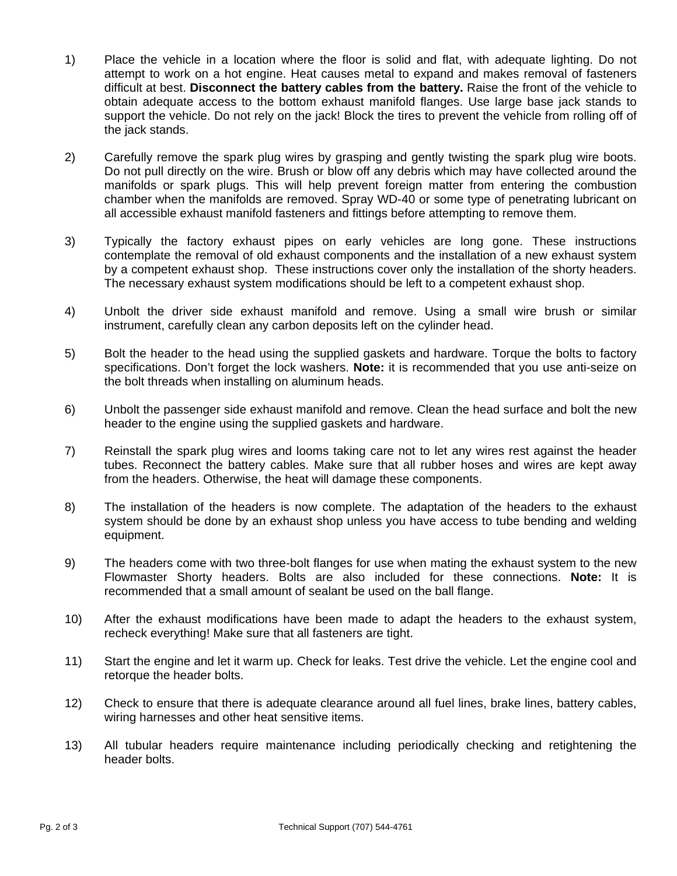- 1) Place the vehicle in a location where the floor is solid and flat, with adequate lighting. Do not attempt to work on a hot engine. Heat causes metal to expand and makes removal of fasteners difficult at best. **Disconnect the battery cables from the battery.** Raise the front of the vehicle to obtain adequate access to the bottom exhaust manifold flanges. Use large base jack stands to support the vehicle. Do not rely on the jack! Block the tires to prevent the vehicle from rolling off of the jack stands.
- 2) Carefully remove the spark plug wires by grasping and gently twisting the spark plug wire boots. Do not pull directly on the wire. Brush or blow off any debris which may have collected around the manifolds or spark plugs. This will help prevent foreign matter from entering the combustion chamber when the manifolds are removed. Spray WD-40 or some type of penetrating lubricant on all accessible exhaust manifold fasteners and fittings before attempting to remove them.
- 3) Typically the factory exhaust pipes on early vehicles are long gone. These instructions contemplate the removal of old exhaust components and the installation of a new exhaust system by a competent exhaust shop. These instructions cover only the installation of the shorty headers. The necessary exhaust system modifications should be left to a competent exhaust shop.
- 4) Unbolt the driver side exhaust manifold and remove. Using a small wire brush or similar instrument, carefully clean any carbon deposits left on the cylinder head.
- 5) Bolt the header to the head using the supplied gaskets and hardware. Torque the bolts to factory specifications. Don't forget the lock washers. **Note:** it is recommended that you use anti-seize on the bolt threads when installing on aluminum heads.
- 6) Unbolt the passenger side exhaust manifold and remove. Clean the head surface and bolt the new header to the engine using the supplied gaskets and hardware.
- 7) Reinstall the spark plug wires and looms taking care not to let any wires rest against the header tubes. Reconnect the battery cables. Make sure that all rubber hoses and wires are kept away from the headers. Otherwise, the heat will damage these components.
- 8) The installation of the headers is now complete. The adaptation of the headers to the exhaust system should be done by an exhaust shop unless you have access to tube bending and welding equipment.
- 9) The headers come with two three-bolt flanges for use when mating the exhaust system to the new Flowmaster Shorty headers. Bolts are also included for these connections. **Note:** It is recommended that a small amount of sealant be used on the ball flange.
- 10) After the exhaust modifications have been made to adapt the headers to the exhaust system, recheck everything! Make sure that all fasteners are tight.
- 11) Start the engine and let it warm up. Check for leaks. Test drive the vehicle. Let the engine cool and retorque the header bolts.
- 12) Check to ensure that there is adequate clearance around all fuel lines, brake lines, battery cables, wiring harnesses and other heat sensitive items.
- 13) All tubular headers require maintenance including periodically checking and retightening the header bolts.